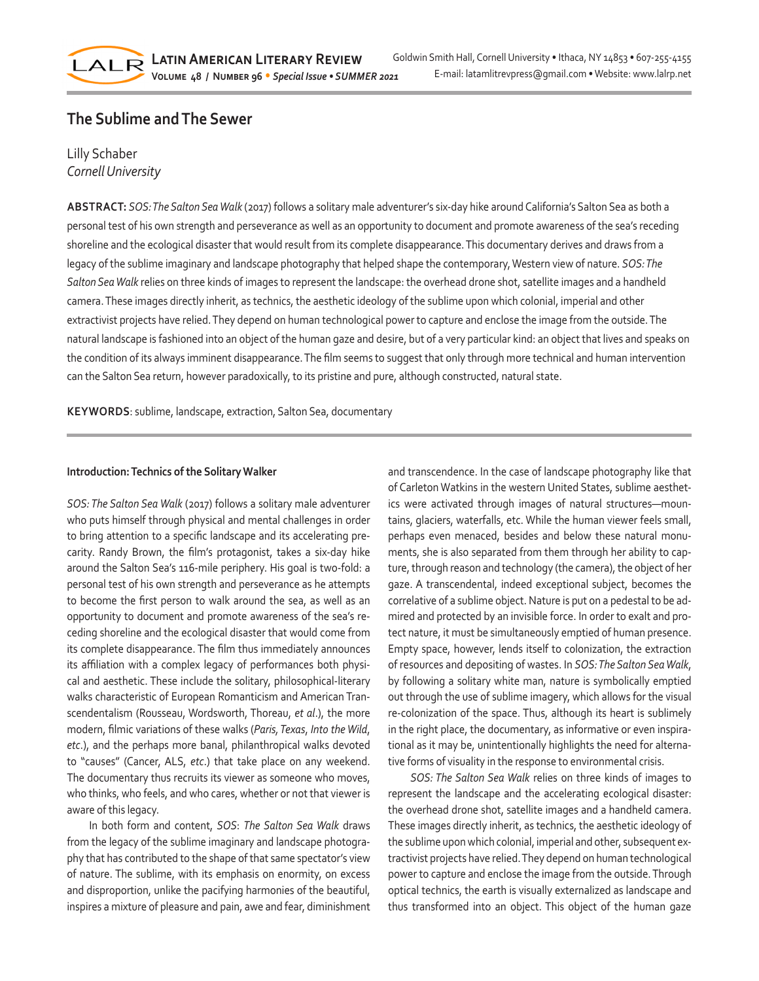# **The Sublime and The Sewer**

## Lilly Schaber *Cornell University*

LALR

**ABSTRACT:** *SOS: The Salton Sea Walk* (2017) follows a solitary male adventurer's six-day hike around California's Salton Sea as both a personal test of his own strength and perseverance as well as an opportunity to document and promote awareness of the sea's receding shoreline and the ecological disaster that would result from its complete disappearance. This documentary derives and draws from a legacy of the sublime imaginary and landscape photography that helped shape the contemporary, Western view of nature. *SOS: The Salton Sea Walk* relies on three kinds of images to represent the landscape: the overhead drone shot, satellite images and a handheld camera. These images directly inherit, as technics, the aesthetic ideology of the sublime upon which colonial, imperial and other extractivist projects have relied. They depend on human technological power to capture and enclose the image from the outside. The natural landscape is fashioned into an object of the human gaze and desire, but of a very particular kind: an object that lives and speaks on the condition of its always imminent disappearance. The film seems to suggest that only through more technical and human intervention can the Salton Sea return, however paradoxically, to its pristine and pure, although constructed, natural state.

**KEYWORDS**: sublime, landscape, extraction, Salton Sea, documentary

## **Introduction: Technics of the Solitary Walker**

*SOS: The Salton Sea Walk* (2017) follows a solitary male adventurer who puts himself through physical and mental challenges in order to bring attention to a specific landscape and its accelerating precarity. Randy Brown, the film's protagonist, takes a six-day hike around the Salton Sea's 116-mile periphery. His goal is two-fold: a personal test of his own strength and perseverance as he attempts to become the first person to walk around the sea, as well as an opportunity to document and promote awareness of the sea's receding shoreline and the ecological disaster that would come from its complete disappearance. The film thus immediately announces its affiliation with a complex legacy of performances both physical and aesthetic. These include the solitary, philosophical-literary walks characteristic of European Romanticism and American Transcendentalism (Rousseau, Wordsworth, Thoreau, *et al*.), the more modern, filmic variations of these walks (*Paris, Texas*, *Into the Wild*, *etc*.), and the perhaps more banal, philanthropical walks devoted to "causes" (Cancer, ALS, *etc*.) that take place on any weekend. The documentary thus recruits its viewer as someone who moves, who thinks, who feels, and who cares, whether or not that viewer is aware of this legacy.

In both form and content, *SOS*: *The Salton Sea Walk* draws from the legacy of the sublime imaginary and landscape photography that has contributed to the shape of that same spectator's view of nature. The sublime, with its emphasis on enormity, on excess and disproportion, unlike the pacifying harmonies of the beautiful, inspires a mixture of pleasure and pain, awe and fear, diminishment and transcendence. In the case of landscape photography like that of Carleton Watkins in the western United States, sublime aesthetics were activated through images of natural structures—mountains, glaciers, waterfalls, etc. While the human viewer feels small, perhaps even menaced, besides and below these natural monuments, she is also separated from them through her ability to capture, through reason and technology (the camera), the object of her gaze. A transcendental, indeed exceptional subject, becomes the correlative of a sublime object. Nature is put on a pedestal to be admired and protected by an invisible force. In order to exalt and protect nature, it must be simultaneously emptied of human presence. Empty space, however, lends itself to colonization, the extraction of resources and depositing of wastes. In *SOS: The Salton Sea Walk*, by following a solitary white man, nature is symbolically emptied out through the use of sublime imagery, which allows for the visual re-colonization of the space. Thus, although its heart is sublimely in the right place, the documentary, as informative or even inspirational as it may be, unintentionally highlights the need for alternative forms of visuality in the response to environmental crisis.

*SOS: The Salton Sea Walk* relies on three kinds of images to represent the landscape and the accelerating ecological disaster: the overhead drone shot, satellite images and a handheld camera. These images directly inherit, as technics, the aesthetic ideology of the sublime upon which colonial, imperial and other, subsequent extractivist projects have relied. They depend on human technological power to capture and enclose the image from the outside. Through optical technics, the earth is visually externalized as landscape and thus transformed into an object. This object of the human gaze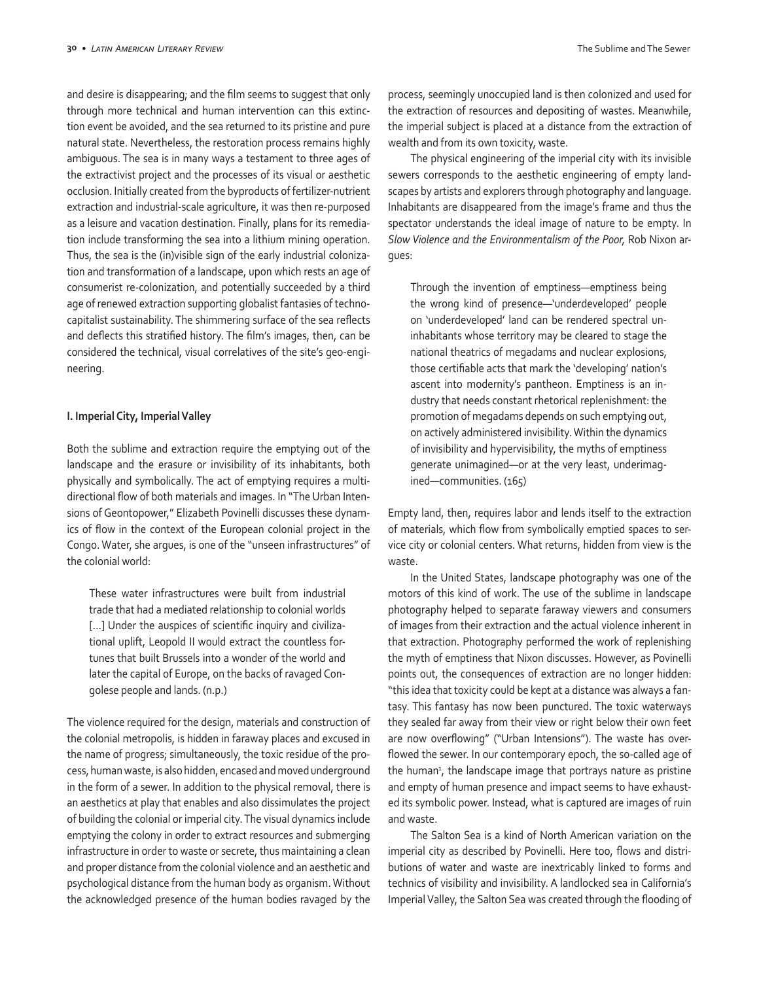and desire is disappearing; and the film seems to suggest that only through more technical and human intervention can this extinction event be avoided, and the sea returned to its pristine and pure natural state. Nevertheless, the restoration process remains highly ambiguous. The sea is in many ways a testament to three ages of the extractivist project and the processes of its visual or aesthetic occlusion. Initially created from the byproducts of fertilizer-nutrient extraction and industrial-scale agriculture, it was then re-purposed as a leisure and vacation destination. Finally, plans for its remediation include transforming the sea into a lithium mining operation. Thus, the sea is the (in)visible sign of the early industrial colonization and transformation of a landscape, upon which rests an age of consumerist re-colonization, and potentially succeeded by a third age of renewed extraction supporting globalist fantasies of technocapitalist sustainability. The shimmering surface of the sea reflects and deflects this stratified history. The film's images, then, can be considered the technical, visual correlatives of the site's geo-engineering.

#### **I. Imperial City, Imperial Valley**

Both the sublime and extraction require the emptying out of the landscape and the erasure or invisibility of its inhabitants, both physically and symbolically. The act of emptying requires a multidirectional flow of both materials and images. In "The Urban Intensions of Geontopower," Elizabeth Povinelli discusses these dynamics of flow in the context of the European colonial project in the Congo. Water, she argues, is one of the "unseen infrastructures" of the colonial world:

These water infrastructures were built from industrial trade that had a mediated relationship to colonial worlds [...] Under the auspices of scientific inquiry and civilizational uplift, Leopold II would extract the countless fortunes that built Brussels into a wonder of the world and later the capital of Europe, on the backs of ravaged Congolese people and lands. (n.p.)

The violence required for the design, materials and construction of the colonial metropolis, is hidden in faraway places and excused in the name of progress; simultaneously, the toxic residue of the process, human waste, is also hidden, encased and moved underground in the form of a sewer. In addition to the physical removal, there is an aesthetics at play that enables and also dissimulates the project of building the colonial or imperial city. The visual dynamics include emptying the colony in order to extract resources and submerging infrastructure in order to waste or secrete, thus maintaining a clean and proper distance from the colonial violence and an aesthetic and psychological distance from the human body as organism. Without the acknowledged presence of the human bodies ravaged by the process, seemingly unoccupied land is then colonized and used for the extraction of resources and depositing of wastes. Meanwhile, the imperial subject is placed at a distance from the extraction of wealth and from its own toxicity, waste.

The physical engineering of the imperial city with its invisible sewers corresponds to the aesthetic engineering of empty landscapes by artists and explorers through photography and language. Inhabitants are disappeared from the image's frame and thus the spectator understands the ideal image of nature to be empty. In *Slow Violence and the Environmentalism of the Poor,* Rob Nixon argues:

Through the invention of emptiness—emptiness being the wrong kind of presence—'underdeveloped' people on 'underdeveloped' land can be rendered spectral uninhabitants whose territory may be cleared to stage the national theatrics of megadams and nuclear explosions, those certifiable acts that mark the 'developing' nation's ascent into modernity's pantheon. Emptiness is an industry that needs constant rhetorical replenishment: the promotion of megadams depends on such emptying out, on actively administered invisibility. Within the dynamics of invisibility and hypervisibility, the myths of emptiness generate unimagined—or at the very least, underimagined—communities. (165)

Empty land, then, requires labor and lends itself to the extraction of materials, which flow from symbolically emptied spaces to service city or colonial centers. What returns, hidden from view is the waste.

In the United States, landscape photography was one of the motors of this kind of work. The use of the sublime in landscape photography helped to separate faraway viewers and consumers of images from their extraction and the actual violence inherent in that extraction. Photography performed the work of replenishing the myth of emptiness that Nixon discusses. However, as Povinelli points out, the consequences of extraction are no longer hidden: "this idea that toxicity could be kept at a distance was always a fantasy. This fantasy has now been punctured. The toxic waterways they sealed far away from their view or right below their own feet are now overflowing" ("Urban Intensions"). The waste has overflowed the sewer. In our contemporary epoch, the so-called age of the human<sup>2</sup>, the landscape image that portrays nature as pristine and empty of human presence and impact seems to have exhausted its symbolic power. Instead, what is captured are images of ruin and waste.

The Salton Sea is a kind of North American variation on the imperial city as described by Povinelli. Here too, flows and distributions of water and waste are inextricably linked to forms and technics of visibility and invisibility. A landlocked sea in California's Imperial Valley, the Salton Sea was created through the flooding of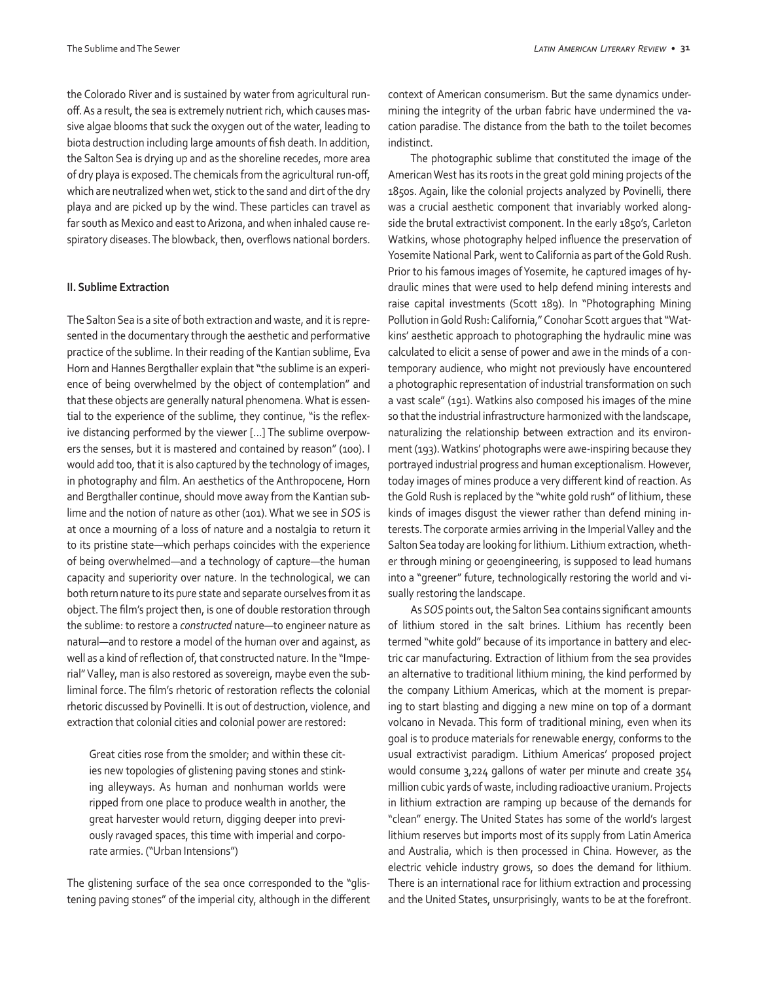the Colorado River and is sustained by water from agricultural runoff. As a result, the sea is extremely nutrient rich, which causes massive algae blooms that suck the oxygen out of the water, leading to biota destruction including large amounts of fish death. In addition, the Salton Sea is drying up and as the shoreline recedes, more area of dry playa is exposed. The chemicals from the agricultural run-off, which are neutralized when wet, stick to the sand and dirt of the dry playa and are picked up by the wind. These particles can travel as far south as Mexico and east to Arizona, and when inhaled cause respiratory diseases. The blowback, then, overflows national borders.

#### **II. Sublime Extraction**

The Salton Sea is a site of both extraction and waste, and it is represented in the documentary through the aesthetic and performative practice of the sublime. In their reading of the Kantian sublime, Eva Horn and Hannes Bergthaller explain that "the sublime is an experience of being overwhelmed by the object of contemplation" and that these objects are generally natural phenomena. What is essential to the experience of the sublime, they continue, "is the reflexive distancing performed by the viewer […] The sublime overpowers the senses, but it is mastered and contained by reason" (100). I would add too, that it is also captured by the technology of images, in photography and film. An aesthetics of the Anthropocene, Horn and Bergthaller continue, should move away from the Kantian sublime and the notion of nature as other (101). What we see in *SOS* is at once a mourning of a loss of nature and a nostalgia to return it to its pristine state—which perhaps coincides with the experience of being overwhelmed—and a technology of capture—the human capacity and superiority over nature. In the technological, we can both return nature to its pure state and separate ourselves from it as object. The film's project then, is one of double restoration through the sublime: to restore a *constructed* nature—to engineer nature as natural—and to restore a model of the human over and against, as well as a kind of reflection of, that constructed nature. In the "Imperial" Valley, man is also restored as sovereign, maybe even the subliminal force. The film's rhetoric of restoration reflects the colonial rhetoric discussed by Povinelli. It is out of destruction, violence, and extraction that colonial cities and colonial power are restored:

Great cities rose from the smolder; and within these cities new topologies of glistening paving stones and stinking alleyways. As human and nonhuman worlds were ripped from one place to produce wealth in another, the great harvester would return, digging deeper into previously ravaged spaces, this time with imperial and corporate armies. ("Urban Intensions")

The glistening surface of the sea once corresponded to the "glistening paving stones" of the imperial city, although in the different context of American consumerism. But the same dynamics undermining the integrity of the urban fabric have undermined the vacation paradise. The distance from the bath to the toilet becomes indistinct.

The photographic sublime that constituted the image of the American West has its roots in the great gold mining projects of the 1850s. Again, like the colonial projects analyzed by Povinelli, there was a crucial aesthetic component that invariably worked alongside the brutal extractivist component. In the early 1850's, Carleton Watkins, whose photography helped influence the preservation of Yosemite National Park, went to California as part of the Gold Rush. Prior to his famous images of Yosemite, he captured images of hydraulic mines that were used to help defend mining interests and raise capital investments (Scott 189). In "Photographing Mining Pollution in Gold Rush: California," Conohar Scott argues that "Watkins' aesthetic approach to photographing the hydraulic mine was calculated to elicit a sense of power and awe in the minds of a contemporary audience, who might not previously have encountered a photographic representation of industrial transformation on such a vast scale" (191). Watkins also composed his images of the mine so that the industrial infrastructure harmonized with the landscape, naturalizing the relationship between extraction and its environment (193). Watkins' photographs were awe-inspiring because they portrayed industrial progress and human exceptionalism. However, today images of mines produce a very different kind of reaction. As the Gold Rush is replaced by the "white gold rush" of lithium, these kinds of images disgust the viewer rather than defend mining interests. The corporate armies arriving in the Imperial Valley and the Salton Sea today are looking for lithium. Lithium extraction, whether through mining or geoengineering, is supposed to lead humans into a "greener" future, technologically restoring the world and visually restoring the landscape.

As *SOS* points out, the Salton Sea contains significant amounts of lithium stored in the salt brines. Lithium has recently been termed "white gold" because of its importance in battery and electric car manufacturing. Extraction of lithium from the sea provides an alternative to traditional lithium mining, the kind performed by the company Lithium Americas, which at the moment is preparing to start blasting and digging a new mine on top of a dormant volcano in Nevada. This form of traditional mining, even when its goal is to produce materials for renewable energy, conforms to the usual extractivist paradigm. Lithium Americas' proposed project would consume 3,224 gallons of water per minute and create 354 million cubic yards of waste, including radioactive uranium. Projects in lithium extraction are ramping up because of the demands for "clean" energy. The United States has some of the world's largest lithium reserves but imports most of its supply from Latin America and Australia, which is then processed in China. However, as the electric vehicle industry grows, so does the demand for lithium. There is an international race for lithium extraction and processing and the United States, unsurprisingly, wants to be at the forefront.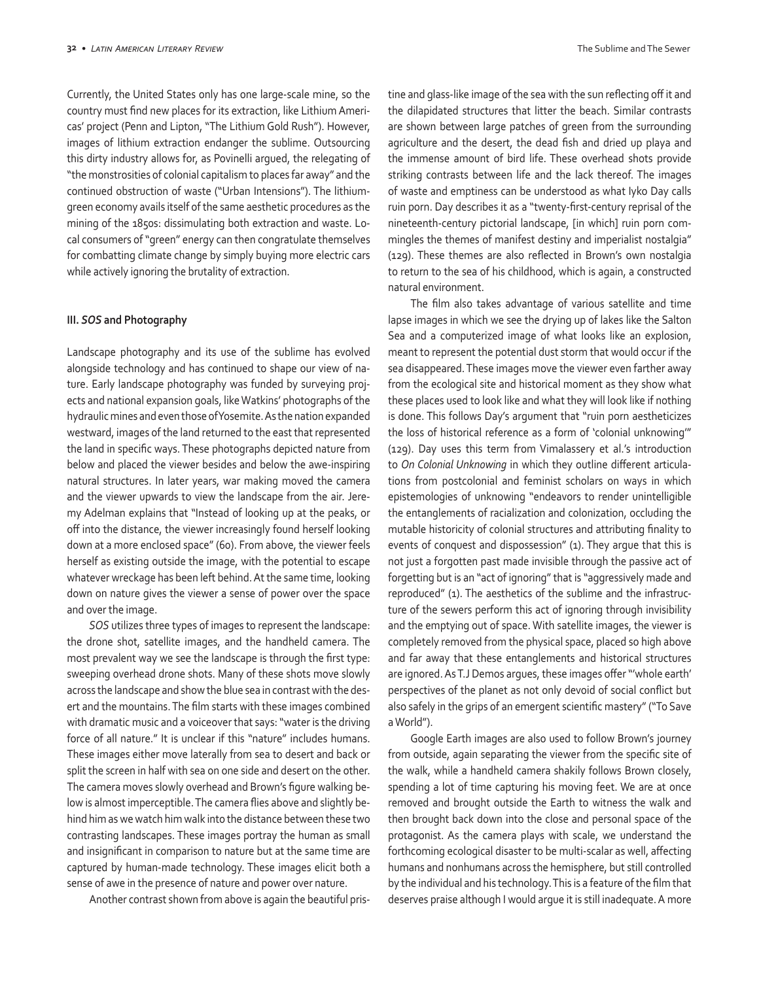Currently, the United States only has one large-scale mine, so the country must find new places for its extraction, like Lithium Americas' project (Penn and Lipton, "The Lithium Gold Rush"). However, images of lithium extraction endanger the sublime. Outsourcing this dirty industry allows for, as Povinelli argued, the relegating of "the monstrosities of colonial capitalism to places far away" and the continued obstruction of waste ("Urban Intensions"). The lithiumgreen economy avails itself of the same aesthetic procedures as the mining of the 1850s: dissimulating both extraction and waste. Local consumers of "green" energy can then congratulate themselves for combatting climate change by simply buying more electric cars while actively ignoring the brutality of extraction.

#### **III.** *SOS* **and Photography**

Landscape photography and its use of the sublime has evolved alongside technology and has continued to shape our view of nature. Early landscape photography was funded by surveying projects and national expansion goals, like Watkins' photographs of the hydraulic mines and even those of Yosemite. As the nation expanded westward, images of the land returned to the east that represented the land in specific ways. These photographs depicted nature from below and placed the viewer besides and below the awe-inspiring natural structures. In later years, war making moved the camera and the viewer upwards to view the landscape from the air. Jeremy Adelman explains that "Instead of looking up at the peaks, or off into the distance, the viewer increasingly found herself looking down at a more enclosed space" (60). From above, the viewer feels herself as existing outside the image, with the potential to escape whatever wreckage has been left behind. At the same time, looking down on nature gives the viewer a sense of power over the space and over the image.

*SOS* utilizes three types of images to represent the landscape: the drone shot, satellite images, and the handheld camera. The most prevalent way we see the landscape is through the first type: sweeping overhead drone shots. Many of these shots move slowly across the landscape and show the blue sea in contrast with the desert and the mountains. The film starts with these images combined with dramatic music and a voiceover that says: "water is the driving force of all nature." It is unclear if this "nature" includes humans. These images either move laterally from sea to desert and back or split the screen in half with sea on one side and desert on the other. The camera moves slowly overhead and Brown's figure walking below is almost imperceptible. The camera flies above and slightly behind him as we watch him walk into the distance between these two contrasting landscapes. These images portray the human as small and insignificant in comparison to nature but at the same time are captured by human-made technology. These images elicit both a sense of awe in the presence of nature and power over nature.

Another contrast shown from above is again the beautiful pris-

tine and glass-like image of the sea with the sun reflecting off it and the dilapidated structures that litter the beach. Similar contrasts are shown between large patches of green from the surrounding agriculture and the desert, the dead fish and dried up playa and the immense amount of bird life. These overhead shots provide striking contrasts between life and the lack thereof. The images of waste and emptiness can be understood as what Iyko Day calls ruin porn. Day describes it as a "twenty-first-century reprisal of the nineteenth-century pictorial landscape, [in which] ruin porn commingles the themes of manifest destiny and imperialist nostalgia" (129). These themes are also reflected in Brown's own nostalgia to return to the sea of his childhood, which is again, a constructed natural environment.

The film also takes advantage of various satellite and time lapse images in which we see the drying up of lakes like the Salton Sea and a computerized image of what looks like an explosion, meant to represent the potential dust storm that would occur if the sea disappeared. These images move the viewer even farther away from the ecological site and historical moment as they show what these places used to look like and what they will look like if nothing is done. This follows Day's argument that "ruin porn aestheticizes the loss of historical reference as a form of 'colonial unknowing'" (129). Day uses this term from Vimalassery et al.'s introduction to *On Colonial Unknowing* in which they outline different articulations from postcolonial and feminist scholars on ways in which epistemologies of unknowing "endeavors to render unintelligible the entanglements of racialization and colonization, occluding the mutable historicity of colonial structures and attributing finality to events of conquest and dispossession" (1). They argue that this is not just a forgotten past made invisible through the passive act of forgetting but is an "act of ignoring" that is "aggressively made and reproduced" (1). The aesthetics of the sublime and the infrastructure of the sewers perform this act of ignoring through invisibility and the emptying out of space. With satellite images, the viewer is completely removed from the physical space, placed so high above and far away that these entanglements and historical structures are ignored. As T.J Demos argues, these images offer "'whole earth' perspectives of the planet as not only devoid of social conflict but also safely in the grips of an emergent scientific mastery" ("To Save a World").

Google Earth images are also used to follow Brown's journey from outside, again separating the viewer from the specific site of the walk, while a handheld camera shakily follows Brown closely, spending a lot of time capturing his moving feet. We are at once removed and brought outside the Earth to witness the walk and then brought back down into the close and personal space of the protagonist. As the camera plays with scale, we understand the forthcoming ecological disaster to be multi-scalar as well, affecting humans and nonhumans across the hemisphere, but still controlled by the individual and his technology. This is a feature of the film that deserves praise although I would argue it is still inadequate. A more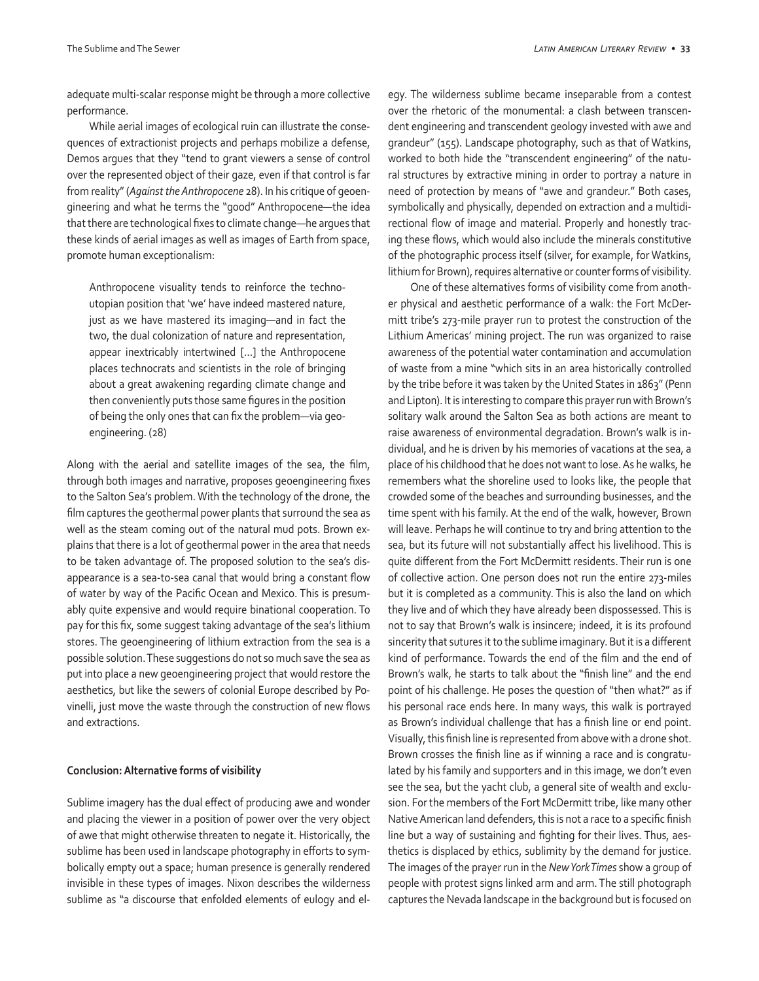adequate multi-scalar response might be through a more collective performance.

While aerial images of ecological ruin can illustrate the consequences of extractionist projects and perhaps mobilize a defense, Demos argues that they "tend to grant viewers a sense of control over the represented object of their gaze, even if that control is far from reality" (*Against the Anthropocene* 28). In his critique of geoengineering and what he terms the "good" Anthropocene—the idea that there are technological fixes to climate change—he argues that these kinds of aerial images as well as images of Earth from space, promote human exceptionalism:

Anthropocene visuality tends to reinforce the technoutopian position that 'we' have indeed mastered nature, just as we have mastered its imaging—and in fact the two, the dual colonization of nature and representation, appear inextricably intertwined […] the Anthropocene places technocrats and scientists in the role of bringing about a great awakening regarding climate change and then conveniently puts those same figures in the position of being the only ones that can fix the problem—via geoengineering. (28)

Along with the aerial and satellite images of the sea, the film, through both images and narrative, proposes geoengineering fixes to the Salton Sea's problem. With the technology of the drone, the film captures the geothermal power plants that surround the sea as well as the steam coming out of the natural mud pots. Brown explains that there is a lot of geothermal power in the area that needs to be taken advantage of. The proposed solution to the sea's disappearance is a sea-to-sea canal that would bring a constant flow of water by way of the Pacific Ocean and Mexico. This is presumably quite expensive and would require binational cooperation. To pay for this fix, some suggest taking advantage of the sea's lithium stores. The geoengineering of lithium extraction from the sea is a possible solution. These suggestions do not so much save the sea as put into place a new geoengineering project that would restore the aesthetics, but like the sewers of colonial Europe described by Povinelli, just move the waste through the construction of new flows and extractions.

#### **Conclusion: Alternative forms of visibility**

Sublime imagery has the dual effect of producing awe and wonder and placing the viewer in a position of power over the very object of awe that might otherwise threaten to negate it. Historically, the sublime has been used in landscape photography in efforts to symbolically empty out a space; human presence is generally rendered invisible in these types of images. Nixon describes the wilderness sublime as "a discourse that enfolded elements of eulogy and elegy. The wilderness sublime became inseparable from a contest over the rhetoric of the monumental: a clash between transcendent engineering and transcendent geology invested with awe and grandeur" (155). Landscape photography, such as that of Watkins, worked to both hide the "transcendent engineering" of the natural structures by extractive mining in order to portray a nature in need of protection by means of "awe and grandeur." Both cases, symbolically and physically, depended on extraction and a multidirectional flow of image and material. Properly and honestly tracing these flows, which would also include the minerals constitutive of the photographic process itself (silver, for example, for Watkins, lithium for Brown), requires alternative or counter forms of visibility.

One of these alternatives forms of visibility come from another physical and aesthetic performance of a walk: the Fort McDermitt tribe's 273-mile prayer run to protest the construction of the Lithium Americas' mining project. The run was organized to raise awareness of the potential water contamination and accumulation of waste from a mine "which sits in an area historically controlled by the tribe before it was taken by the United States in 1863" (Penn and Lipton). It is interesting to compare this prayer run with Brown's solitary walk around the Salton Sea as both actions are meant to raise awareness of environmental degradation. Brown's walk is individual, and he is driven by his memories of vacations at the sea, a place of his childhood that he does not want to lose. As he walks, he remembers what the shoreline used to looks like, the people that crowded some of the beaches and surrounding businesses, and the time spent with his family. At the end of the walk, however, Brown will leave. Perhaps he will continue to try and bring attention to the sea, but its future will not substantially affect his livelihood. This is quite different from the Fort McDermitt residents. Their run is one of collective action. One person does not run the entire 273-miles but it is completed as a community. This is also the land on which they live and of which they have already been dispossessed. This is not to say that Brown's walk is insincere; indeed, it is its profound sincerity that sutures it to the sublime imaginary. But it is a different kind of performance. Towards the end of the film and the end of Brown's walk, he starts to talk about the "finish line" and the end point of his challenge. He poses the question of "then what?" as if his personal race ends here. In many ways, this walk is portrayed as Brown's individual challenge that has a finish line or end point. Visually, this finish line is represented from above with a drone shot. Brown crosses the finish line as if winning a race and is congratulated by his family and supporters and in this image, we don't even see the sea, but the yacht club, a general site of wealth and exclusion. For the members of the Fort McDermitt tribe, like many other Native American land defenders, this is not a race to a specific finish line but a way of sustaining and fighting for their lives. Thus, aesthetics is displaced by ethics, sublimity by the demand for justice. The images of the prayer run in the *New York Times* show a group of people with protest signs linked arm and arm. The still photograph captures the Nevada landscape in the background but is focused on